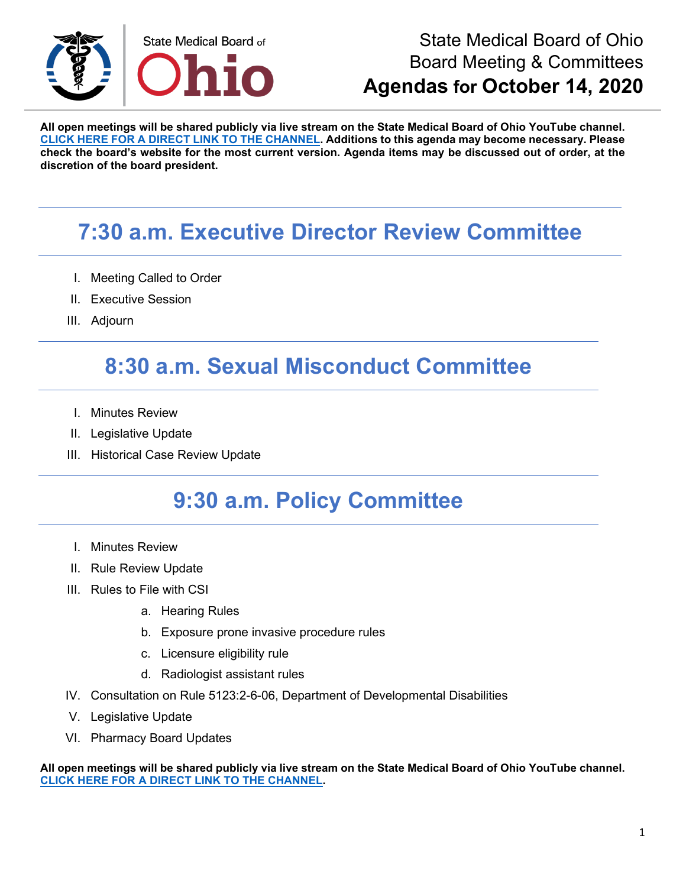

**All open meetings will be shared publicly via live stream on the State Medical Board of Ohio YouTube channel. [CLICK HERE FOR A DIRECT LINK TO THE CHANNEL.](https://www.youtube.com/channel/UCWBHBfwOyUtBZmBEZvtYPvA) Additions to this agenda may become necessary. Please check the board's website for the most current version. Agenda items may be discussed out of order, at the discretion of the board president.**

## **7:30 a.m. Executive Director Review Committee**

- I. Meeting Called to Order
- II. Executive Session
- III. Adjourn

### **8:30 a.m. Sexual Misconduct Committee**

- I. Minutes Review
- II. Legislative Update
- III. Historical Case Review Update

## **9:30 a.m. Policy Committee**

- I. Minutes Review
- II. Rule Review Update
- III. Rules to File with CSI
	- a. Hearing Rules
	- b. Exposure prone invasive procedure rules
	- c. Licensure eligibility rule
	- d. Radiologist assistant rules
- IV. Consultation on Rule 5123:2-6-06, Department of Developmental Disabilities
- V. Legislative Update
- VI. Pharmacy Board Updates

**All open meetings will be shared publicly via live stream on the State Medical Board of Ohio YouTube channel. [CLICK HERE FOR A DIRECT LINK TO THE CHANNEL.](https://www.youtube.com/channel/UCWBHBfwOyUtBZmBEZvtYPvA)**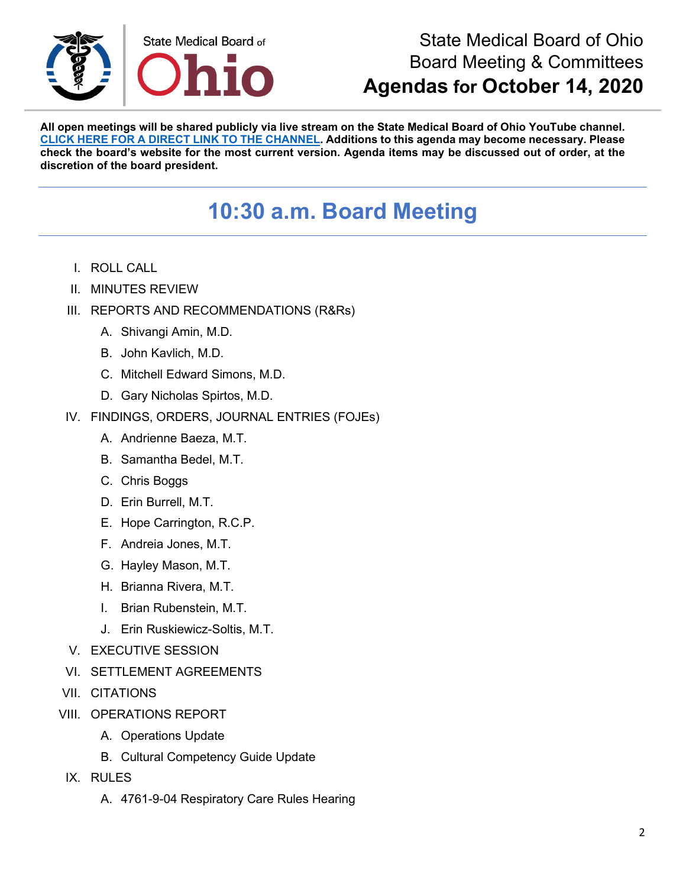

**All open meetings will be shared publicly via live stream on the State Medical Board of Ohio YouTube channel. [CLICK HERE FOR A DIRECT LINK TO THE CHANNEL.](https://www.youtube.com/channel/UCWBHBfwOyUtBZmBEZvtYPvA) Additions to this agenda may become necessary. Please check the board's website for the most current version. Agenda items may be discussed out of order, at the discretion of the board president.**

## **10:30 a.m. Board Meeting**

- I. ROLL CALL
- II. MINUTES REVIEW
- III. REPORTS AND RECOMMENDATIONS (R&Rs)
	- A. Shivangi Amin, M.D.
	- B. John Kavlich, M.D.
	- C. Mitchell Edward Simons, M.D.
	- D. Gary Nicholas Spirtos, M.D.
- IV. FINDINGS, ORDERS, JOURNAL ENTRIES (FOJEs)
	- A. Andrienne Baeza, M.T.
	- B. Samantha Bedel, M.T.
	- C. Chris Boggs
	- D. Erin Burrell, M.T.
	- E. Hope Carrington, R.C.P.
	- F. Andreia Jones, M.T.
	- G. Hayley Mason, M.T.
	- H. Brianna Rivera, M.T.
	- I. Brian Rubenstein, M.T.
	- J. Erin Ruskiewicz-Soltis, M.T.
- V. EXECUTIVE SESSION
- VI. SETTLEMENT AGREEMENTS
- VII. CITATIONS
- VIII. OPERATIONS REPORT
	- A. Operations Update
	- B. Cultural Competency Guide Update
- IX. RULES
	- A. 4761-9-04 Respiratory Care Rules Hearing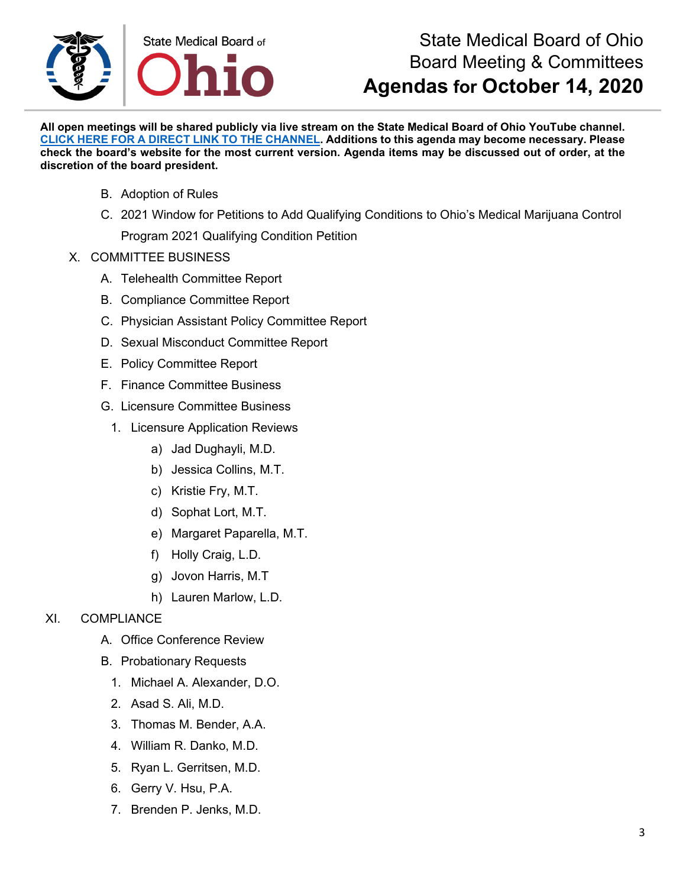

**All open meetings will be shared publicly via live stream on the State Medical Board of Ohio YouTube channel. [CLICK HERE FOR A DIRECT LINK TO THE CHANNEL.](https://www.youtube.com/channel/UCWBHBfwOyUtBZmBEZvtYPvA) Additions to this agenda may become necessary. Please check the board's website for the most current version. Agenda items may be discussed out of order, at the discretion of the board president.**

- B. Adoption of Rules
- C. 2021 Window for Petitions to Add Qualifying Conditions to Ohio's Medical Marijuana Control Program 2021 Qualifying Condition Petition
- X. COMMITTEE BUSINESS
	- A. Telehealth Committee Report
	- B. Compliance Committee Report
	- C. Physician Assistant Policy Committee Report
	- D. Sexual Misconduct Committee Report
	- E. Policy Committee Report
	- F. Finance Committee Business
	- G. Licensure Committee Business
		- 1. Licensure Application Reviews
			- a) Jad Dughayli, M.D.
			- b) Jessica Collins, M.T.
			- c) Kristie Fry, M.T.
			- d) Sophat Lort, M.T.
			- e) Margaret Paparella, M.T.
			- f) Holly Craig, L.D.
			- g) Jovon Harris, M.T
			- h) Lauren Marlow, L.D.
- XI. COMPLIANCE
	- A. Office Conference Review
	- B. Probationary Requests
		- 1. Michael A. Alexander, D.O.
		- 2. Asad S. Ali, M.D.
		- 3. Thomas M. Bender, A.A.
		- 4. William R. Danko, M.D.
		- 5. Ryan L. Gerritsen, M.D.
		- 6. Gerry V. Hsu, P.A.
		- 7. Brenden P. Jenks, M.D.